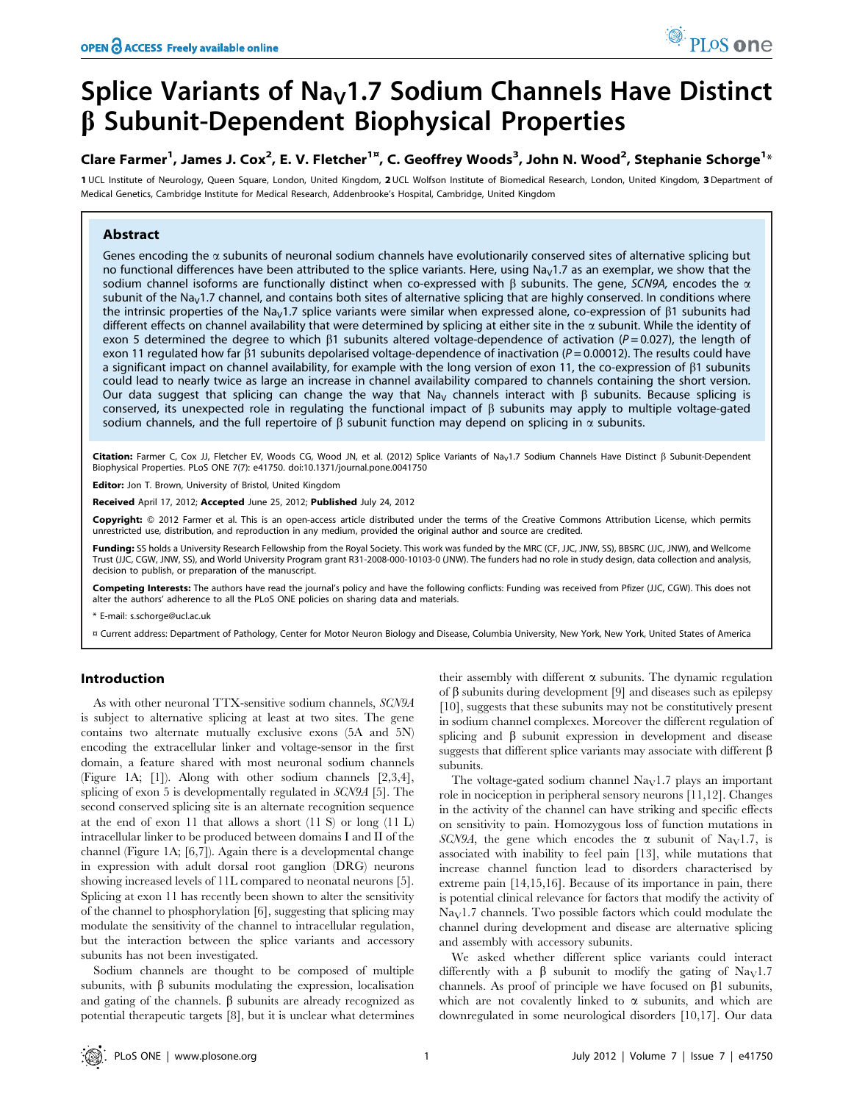# Splice Variants of Na<sub>v</sub>1.7 Sodium Channels Have Distinct  $\beta$  Subunit-Dependent Biophysical Properties

Clare Farmer<sup>1</sup>, James J. Cox<sup>2</sup>, E. V. Fletcher<sup>1¤</sup>, C. Geoffrey Woods<sup>3</sup>, John N. Wood<sup>2</sup>, Stephanie Schorge<sup>1</sup>\*

1 UCL Institute of Neurology, Queen Square, London, United Kingdom, 2 UCL Wolfson Institute of Biomedical Research, London, United Kingdom, 3 Department of Medical Genetics, Cambridge Institute for Medical Research, Addenbrooke's Hospital, Cambridge, United Kingdom

## Abstract

Genes encoding the  $\alpha$  subunits of neuronal sodium channels have evolutionarily conserved sites of alternative splicing but no functional differences have been attributed to the splice variants. Here, using  $Na<sub>V</sub>1.7$  as an exemplar, we show that the sodium channel isoforms are functionally distinct when co-expressed with  $\beta$  subunits. The gene, SCN9A, encodes the  $\alpha$ subunit of the Na<sub>V</sub>1.7 channel, and contains both sites of alternative splicing that are highly conserved. In conditions where the intrinsic properties of the Na<sub>V</sub>1.7 splice variants were similar when expressed alone, co-expression of  $\beta$ 1 subunits had different effects on channel availability that were determined by splicing at either site in the  $\alpha$  subunit. While the identity of exon 5 determined the degree to which  $\beta$ 1 subunits altered voltage-dependence of activation (P = 0.027), the length of exon 11 regulated how far  $\beta$ 1 subunits depolarised voltage-dependence of inactivation ( $P = 0.00012$ ). The results could have a significant impact on channel availability, for example with the long version of exon 11, the co-expression of  $\beta$ 1 subunits could lead to nearly twice as large an increase in channel availability compared to channels containing the short version. Our data suggest that splicing can change the way that Na<sub>V</sub> channels interact with  $\beta$  subunits. Because splicing is conserved, its unexpected role in regulating the functional impact of  $\beta$  subunits may apply to multiple voltage-gated sodium channels, and the full repertoire of  $\beta$  subunit function may depend on splicing in  $\alpha$  subunits.

Citation: Farmer C, Cox JJ, Fletcher EV, Woods CG, Wood JN, et al. (2012) Splice Variants of Na<sub>V</sub>1.7 Sodium Channels Have Distinct ß Subunit-Dependent Biophysical Properties. PLoS ONE 7(7): e41750. doi:10.1371/journal.pone.0041750

Editor: Jon T. Brown, University of Bristol, United Kingdom

Received April 17, 2012; Accepted June 25, 2012; Published July 24, 2012

Copyright: © 2012 Farmer et al. This is an open-access article distributed under the terms of the Creative Commons Attribution License, which permits unrestricted use, distribution, and reproduction in any medium, provided the original author and source are credited.

Funding: SS holds a University Research Fellowship from the Royal Society. This work was funded by the MRC (CF, JJC, JNW, SS), BBSRC (JJC, JNW), and Wellcome Trust (JJC, CGW, JNW, SS), and World University Program grant R31-2008-000-10103-0 (JNW). The funders had no role in study design, data collection and analysis, decision to publish, or preparation of the manuscript.

Competing Interests: The authors have read the journal's policy and have the following conflicts: Funding was received from Pfizer (JJC, CGW). This does not alter the authors' adherence to all the PLoS ONE policies on sharing data and materials.

\* E-mail: s.schorge@ucl.ac.uk

¤ Current address: Department of Pathology, Center for Motor Neuron Biology and Disease, Columbia University, New York, New York, United States of America

## Introduction

As with other neuronal TTX-sensitive sodium channels, SCN9A is subject to alternative splicing at least at two sites. The gene contains two alternate mutually exclusive exons (5A and 5N) encoding the extracellular linker and voltage-sensor in the first domain, a feature shared with most neuronal sodium channels (Figure 1A; [1]). Along with other sodium channels [2,3,4], splicing of exon 5 is developmentally regulated in SCN9A [5]. The second conserved splicing site is an alternate recognition sequence at the end of exon 11 that allows a short (11 S) or long (11 L) intracellular linker to be produced between domains I and II of the channel (Figure 1A; [6,7]). Again there is a developmental change in expression with adult dorsal root ganglion (DRG) neurons showing increased levels of 11L compared to neonatal neurons [5]. Splicing at exon 11 has recently been shown to alter the sensitivity of the channel to phosphorylation [6], suggesting that splicing may modulate the sensitivity of the channel to intracellular regulation, but the interaction between the splice variants and accessory subunits has not been investigated.

Sodium channels are thought to be composed of multiple subunits, with  $\beta$  subunits modulating the expression, localisation and gating of the channels.  $\beta$  subunits are already recognized as potential therapeutic targets [8], but it is unclear what determines their assembly with different  $\alpha$  subunits. The dynamic regulation of  $\beta$  subunits during development [9] and diseases such as epilepsy [10], suggests that these subunits may not be constitutively present in sodium channel complexes. Moreover the different regulation of splicing and  $\beta$  subunit expression in development and disease suggests that different splice variants may associate with different  $\beta$ subunits.

PLoS one

The voltage-gated sodium channel  $\text{Na}_{\text{V}}1.7$  plays an important role in nociception in peripheral sensory neurons [11,12]. Changes in the activity of the channel can have striking and specific effects on sensitivity to pain. Homozygous loss of function mutations in SCN9A, the gene which encodes the  $\alpha$  subunit of Na<sub>V</sub>1.7, is associated with inability to feel pain [13], while mutations that increase channel function lead to disorders characterised by extreme pain [14,15,16]. Because of its importance in pain, there is potential clinical relevance for factors that modify the activity of  $\text{Na}_{\text{V}}$ 1.7 channels. Two possible factors which could modulate the channel during development and disease are alternative splicing and assembly with accessory subunits.

We asked whether different splice variants could interact differently with a  $\beta$  subunit to modify the gating of Na<sub>V</sub>1.7 channels. As proof of principle we have focused on  $\beta$ 1 subunits, which are not covalently linked to  $\alpha$  subunits, and which are downregulated in some neurological disorders [10,17]. Our data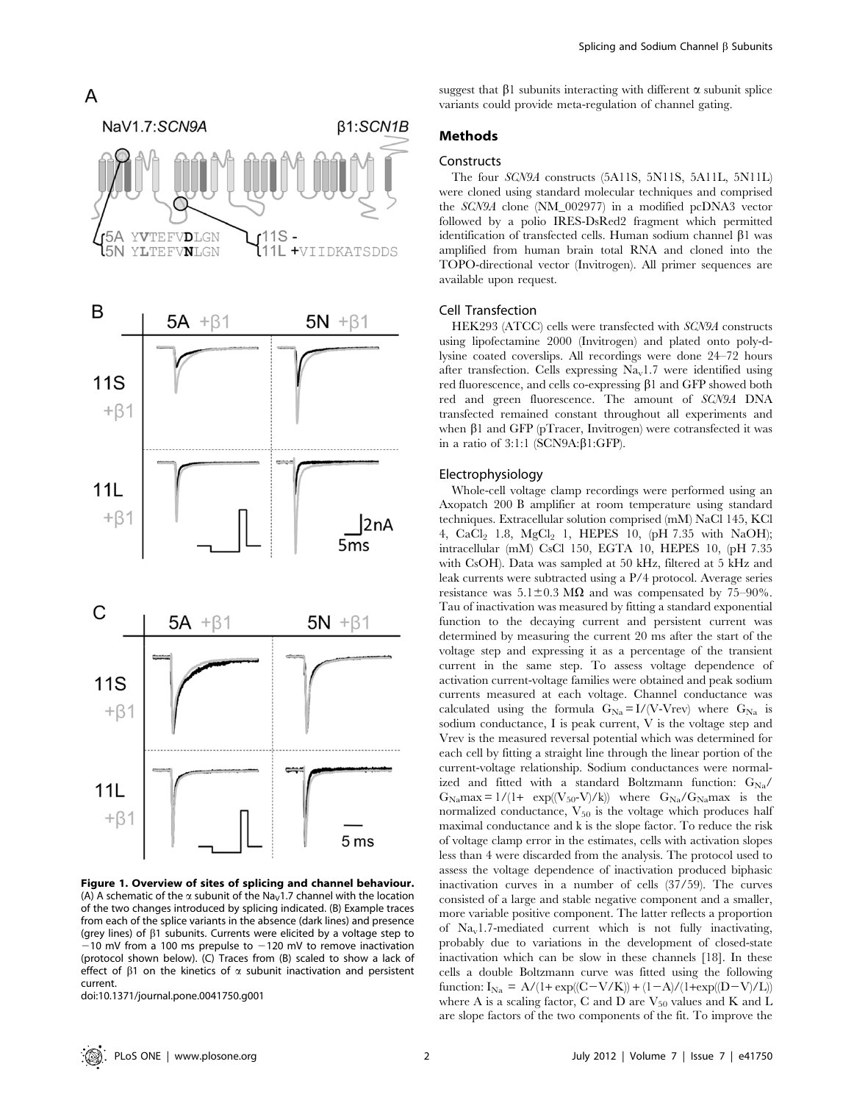

Figure 1. Overview of sites of splicing and channel behaviour. (A) A schematic of the  $\alpha$  subunit of the Na<sub>V</sub>1.7 channel with the location of the two changes introduced by splicing indicated. (B) Example traces from each of the splice variants in the absence (dark lines) and presence (grey lines) of  $\beta$ 1 subunits. Currents were elicited by a voltage step to  $-10$  mV from a 100 ms prepulse to  $-120$  mV to remove inactivation (protocol shown below). (C) Traces from (B) scaled to show a lack of effect of  $\beta$ 1 on the kinetics of  $\alpha$  subunit inactivation and persistent current.

doi:10.1371/journal.pone.0041750.g001

suggest that  $\beta$ 1 subunits interacting with different  $\alpha$  subunit splice variants could provide meta-regulation of channel gating.

# Methods

## **Constructs**

The four SCN9A constructs (5A11S, 5N11S, 5A11L, 5N11L) were cloned using standard molecular techniques and comprised the SCN9A clone (NM\_002977) in a modified pcDNA3 vector followed by a polio IRES-DsRed2 fragment which permitted identification of transfected cells. Human sodium channel  $\beta$ 1 was amplified from human brain total RNA and cloned into the TOPO-directional vector (Invitrogen). All primer sequences are available upon request.

#### Cell Transfection

HEK293 (ATCC) cells were transfected with SCN9A constructs using lipofectamine 2000 (Invitrogen) and plated onto poly-dlysine coated coverslips. All recordings were done 24–72 hours after transfection. Cells expressing  $Na<sub>v</sub>1.7$  were identified using red fluorescence, and cells co-expressing  $\beta$ 1 and GFP showed both red and green fluorescence. The amount of SCN9A DNA transfected remained constant throughout all experiments and when  $\beta$ 1 and GFP (pTracer, Invitrogen) were cotransfected it was in a ratio of  $3:1:1$  (SCN9A: $\beta$ 1:GFP).

#### Electrophysiology

Whole-cell voltage clamp recordings were performed using an Axopatch 200 B amplifier at room temperature using standard techniques. Extracellular solution comprised (mM) NaCl 145, KCl 4, CaCl<sub>2</sub> 1.8, MgCl<sub>2</sub> 1, HEPES 10, (pH 7.35 with NaOH); intracellular (mM) CsCl 150, EGTA 10, HEPES 10, (pH 7.35 with CsOH). Data was sampled at 50 kHz, filtered at 5 kHz and leak currents were subtracted using a P/4 protocol. Average series resistance was  $5.1 \pm 0.3$  M $\Omega$  and was compensated by 75–90%. Tau of inactivation was measured by fitting a standard exponential function to the decaying current and persistent current was determined by measuring the current 20 ms after the start of the voltage step and expressing it as a percentage of the transient current in the same step. To assess voltage dependence of activation current-voltage families were obtained and peak sodium currents measured at each voltage. Channel conductance was calculated using the formula  $G_{N_a} = I/(V-Vrev)$  where  $G_{N_a}$  is sodium conductance, I is peak current, V is the voltage step and Vrev is the measured reversal potential which was determined for each cell by fitting a straight line through the linear portion of the current-voltage relationship. Sodium conductances were normalized and fitted with a standard Boltzmann function:  $G_{Na}/$  $G_{\text{Na}}$ max = 1/(1+ exp( $(V_{50}-V)/k$ )) where  $G_{\text{Na}}/G_{\text{Na}}$ max is the normalized conductance,  $V_{50}$  is the voltage which produces half maximal conductance and k is the slope factor. To reduce the risk of voltage clamp error in the estimates, cells with activation slopes less than 4 were discarded from the analysis. The protocol used to assess the voltage dependence of inactivation produced biphasic inactivation curves in a number of cells (37/59). The curves consisted of a large and stable negative component and a smaller, more variable positive component. The latter reflects a proportion of  $\text{Na}_{\text{v}}$ 1.7-mediated current which is not fully inactivating, probably due to variations in the development of closed-state inactivation which can be slow in these channels [18]. In these cells a double Boltzmann curve was fitted using the following function:  $I_{Na} = A/(1 + \exp((C - V/K)) + (1-A)/(1+\exp((D-V)/L))$ where A is a scaling factor, C and D are  $V_{50}$  values and K and L are slope factors of the two components of the fit. To improve the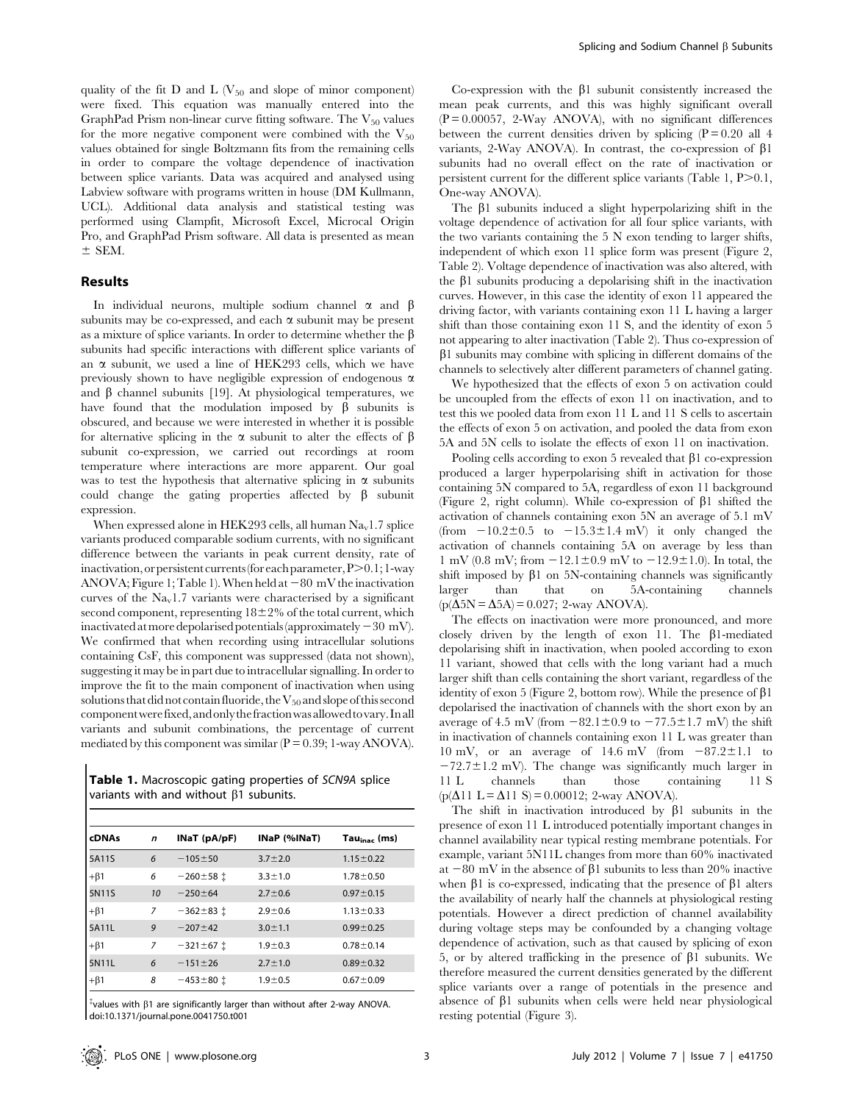quality of the fit D and L ( $V_{50}$  and slope of minor component) were fixed. This equation was manually entered into the GraphPad Prism non-linear curve fitting software. The  $V_{50}$  values for the more negative component were combined with the  $V_{50}$ values obtained for single Boltzmann fits from the remaining cells in order to compare the voltage dependence of inactivation between splice variants. Data was acquired and analysed using Labview software with programs written in house (DM Kullmann, UCL). Additional data analysis and statistical testing was performed using Clampfit, Microsoft Excel, Microcal Origin Pro, and GraphPad Prism software. All data is presented as mean  $\pm$  SEM.

#### Results

In individual neurons, multiple sodium channel  $\alpha$  and  $\beta$ subunits may be co-expressed, and each  $\alpha$  subunit may be present as a mixture of splice variants. In order to determine whether the  $\beta$ subunits had specific interactions with different splice variants of an  $\alpha$  subunit, we used a line of HEK293 cells, which we have previously shown to have negligible expression of endogenous  $\alpha$ and  $\beta$  channel subunits [19]. At physiological temperatures, we have found that the modulation imposed by  $\beta$  subunits is obscured, and because we were interested in whether it is possible for alternative splicing in the  $\alpha$  subunit to alter the effects of  $\beta$ subunit co-expression, we carried out recordings at room temperature where interactions are more apparent. Our goal was to test the hypothesis that alternative splicing in  $\alpha$  subunits could change the gating properties affected by  $\beta$  subunit expression.

When expressed alone in HEK293 cells, all human  $Na<sub>v</sub>1.7$  splice variants produced comparable sodium currents, with no significant difference between the variants in peak current density, rate of inactivation, or persistent currents (for each parameter, P>0.1; 1-way ANOVA; Figure 1; Table 1). When held at  $-80 \text{ mV}$  the inactivation curves of the  $Na<sub>v</sub>1.7$  variants were characterised by a significant second component, representing  $18\pm2\%$  of the total current, which inactivated at more depolarised potentials (approximately  $-30$  mV). We confirmed that when recording using intracellular solutions containing CsF, this component was suppressed (data not shown), suggesting it may be in part due to intracellular signalling. In order to improve the fit to the main component of inactivation when using solutions that did not contain fluoride, the  $\mathrm{V}_{50}$  and slope of this second componentwerefixed,and onlythefractionwasallowedtovary. Inall variants and subunit combinations, the percentage of current mediated by this component was similar ( $P = 0.39$ ; 1-way ANOVA).

Table 1. Macroscopic gating properties of SCN9A splice variants with and without  $\beta$ 1 subunits.

| <b>cDNAs</b> | n  | INaT (pA/pF)    | INaP (%INaT)  | $Tau_{\text{inac}}$ (ms) |
|--------------|----|-----------------|---------------|--------------------------|
| 5A11S        | 6  | $-105 \pm 50$   | $3.7 \pm 2.0$ | $1.15 \pm 0.22$          |
| $+\beta$ 1   | 6  | $-260 \pm 58$ i | $3.3 \pm 1.0$ | $1.78 \pm 0.50$          |
| 5N11S        | 10 | $-250 \pm 64$   | $2.7 \pm 0.6$ | $0.97 \pm 0.15$          |
| $+\beta$ 1   | 7  | $-362+83$ i     | $2.9 \pm 0.6$ | $1.13 \pm 0.33$          |
| 5A11L        | 9  | $-207+42$       | $3.0 \pm 1.1$ | $0.99 \pm 0.25$          |
| $+\beta$ 1   | 7  | $-321 \pm 67$ i | $1.9 + 0.3$   | $0.78 \pm 0.14$          |
| 5N11L        | 6  | $-151 \pm 26$   | $2.7 \pm 1.0$ | $0.89 \pm 0.32$          |
| $+\beta$ 1   | 8  | $-453 \pm 80$ i | $1.9 + 0.5$   | $0.67 \pm 0.09$          |

 $*$ values with  $\beta$ 1 are significantly larger than without after 2-way ANOVA. doi:10.1371/journal.pone.0041750.t001

Co-expression with the  $\beta$ 1 subunit consistently increased the mean peak currents, and this was highly significant overall  $(P = 0.00057, 2-Way ANOVA)$ , with no significant differences between the current densities driven by splicing  $(P = 0.20$  all 4 variants, 2-Way ANOVA). In contrast, the co-expression of  $\beta$ 1 subunits had no overall effect on the rate of inactivation or persistent current for the different splice variants (Table 1,  $P > 0.1$ , One-way ANOVA).

The  $\beta$ 1 subunits induced a slight hyperpolarizing shift in the voltage dependence of activation for all four splice variants, with the two variants containing the  $5 N$  exon tending to larger shifts, independent of which exon 11 splice form was present (Figure 2, Table 2). Voltage dependence of inactivation was also altered, with the  $\beta$ 1 subunits producing a depolarising shift in the inactivation curves. However, in this case the identity of exon 11 appeared the driving factor, with variants containing exon 11 L having a larger shift than those containing exon 11 S, and the identity of exon 5 not appearing to alter inactivation (Table 2). Thus co-expression of  $\beta$ 1 subunits may combine with splicing in different domains of the channels to selectively alter different parameters of channel gating.

We hypothesized that the effects of exon 5 on activation could be uncoupled from the effects of exon 11 on inactivation, and to test this we pooled data from exon 11 L and 11 S cells to ascertain the effects of exon 5 on activation, and pooled the data from exon 5A and 5N cells to isolate the effects of exon 11 on inactivation.

Pooling cells according to exon 5 revealed that  $\beta$ 1 co-expression produced a larger hyperpolarising shift in activation for those containing 5N compared to 5A, regardless of exon 11 background (Figure 2, right column). While co-expression of  $\beta$ 1 shifted the activation of channels containing exon 5N an average of 5.1 mV (from  $-10.2\pm0.5$  to  $-15.3\pm1.4$  mV) it only changed the activation of channels containing 5A on average by less than 1 mV (0.8 mV; from  $-12.1 \pm 0.9$  mV to  $-12.9 \pm 1.0$ ). In total, the shift imposed by  $\beta$ 1 on 5N-containing channels was significantly larger than that on 5A-containing channels  $(p(\Delta 5N = \Delta 5A) = 0.027; 2$ -way ANOVA).

The effects on inactivation were more pronounced, and more closely driven by the length of exon 11. The  $\beta$ 1-mediated depolarising shift in inactivation, when pooled according to exon 11 variant, showed that cells with the long variant had a much larger shift than cells containing the short variant, regardless of the identity of exon 5 (Figure 2, bottom row). While the presence of  $\beta$ 1 depolarised the inactivation of channels with the short exon by an average of 4.5 mV (from  $-82.1\pm0.9$  to  $-77.5\pm1.7$  mV) the shift in inactivation of channels containing exon 11 L was greater than 10 mV, or an average of 14.6 mV (from  $-87.2\pm1.1$  to  $-72.7 \pm 1.2$  mV). The change was significantly much larger in 11 L channels than those containing 11 S  $(p(\Delta 11 L = \Delta 11 S) = 0.00012; 2-way ANOVA).$ 

The shift in inactivation introduced by  $\beta$ 1 subunits in the presence of exon 11 L introduced potentially important changes in channel availability near typical resting membrane potentials. For example, variant 5N11L changes from more than 60% inactivated at  $-80$  mV in the absence of  $\beta$ 1 subunits to less than 20% inactive when  $\beta$ 1 is co-expressed, indicating that the presence of  $\beta$ 1 alters the availability of nearly half the channels at physiological resting potentials. However a direct prediction of channel availability during voltage steps may be confounded by a changing voltage dependence of activation, such as that caused by splicing of exon 5, or by altered trafficking in the presence of  $\beta$ 1 subunits. We therefore measured the current densities generated by the different splice variants over a range of potentials in the presence and absence of  $\beta$ 1 subunits when cells were held near physiological resting potential (Figure 3).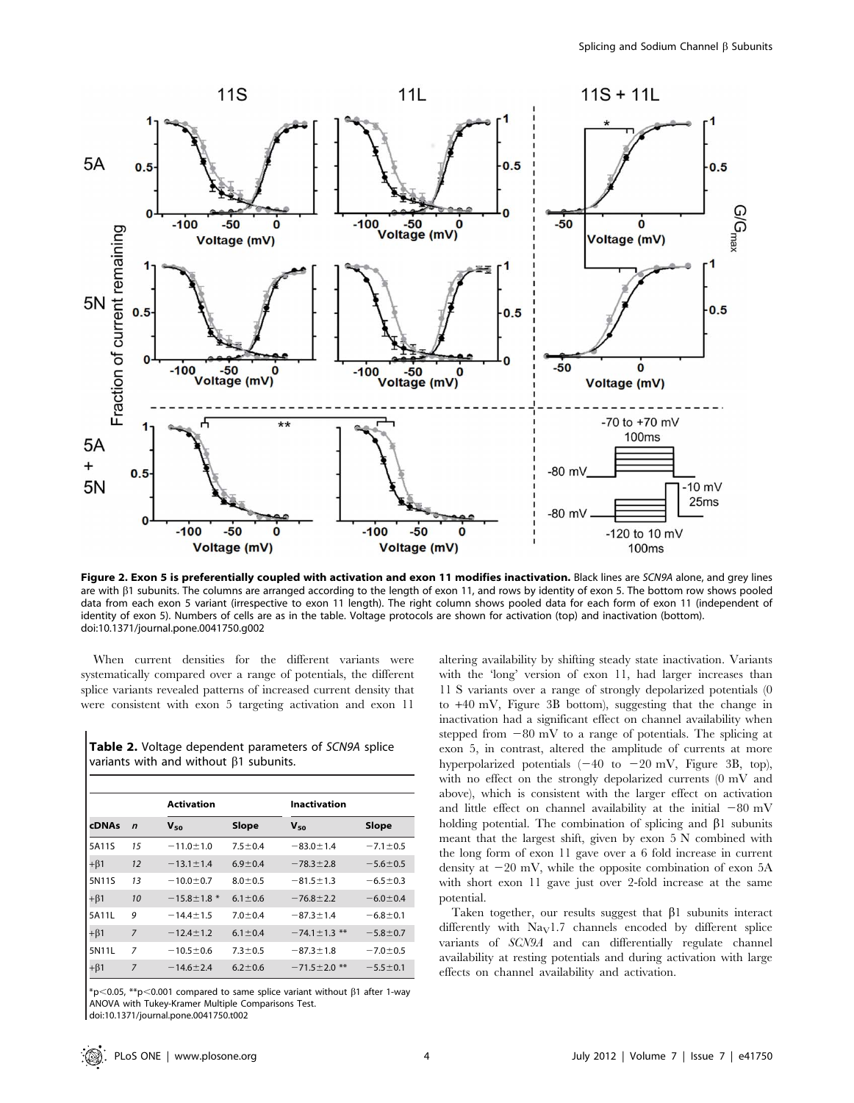

Figure 2. Exon 5 is preferentially coupled with activation and exon 11 modifies inactivation. Black lines are SCN9A alone, and grey lines are with  $\beta$ 1 subunits. The columns are arranged according to the length of exon 11, and rows by identity of exon 5. The bottom row shows pooled data from each exon 5 variant (irrespective to exon 11 length). The right column shows pooled data for each form of exon 11 (independent of identity of exon 5). Numbers of cells are as in the table. Voltage protocols are shown for activation (top) and inactivation (bottom). doi:10.1371/journal.pone.0041750.g002

When current densities for the different variants were systematically compared over a range of potentials, the different splice variants revealed patterns of increased current density that were consistent with exon 5 targeting activation and exon 11

|                                               | <b>Table 2.</b> Voltage dependent parameters of SCN9A splice |
|-----------------------------------------------|--------------------------------------------------------------|
| variants with and without $\beta$ 1 subunits. |                                                              |

|              |                | Activation        |               |                    | Inactivation   |  |  |
|--------------|----------------|-------------------|---------------|--------------------|----------------|--|--|
| <b>cDNAs</b> | $\mathbf n$    | $V_{50}$          | Slope         | $V_{50}$           | Slope          |  |  |
| 5A11S        | 15             | $-11.0 \pm 1.0$   | $7.5 \pm 0.4$ | $-83.0 \pm 1.4$    | $-7.1 \pm 0.5$ |  |  |
| $+\beta$ 1   | 12             | $-13.1 \pm 1.4$   | $6.9 \pm 0.4$ | $-78.3 \pm 2.8$    | $-5.6 \pm 0.5$ |  |  |
| 5N11S        | 13             | $-10.0 \pm 0.7$   | $8.0 \pm 0.5$ | $-81.5 \pm 1.3$    | $-6.5 \pm 0.3$ |  |  |
| $+\beta$ 1   | 10             | $-15.8 \pm 1.8$ * | $6.1 \pm 0.6$ | $-76.8 \pm 2.2$    | $-6.0 \pm 0.4$ |  |  |
| 5A11L        | 9              | $-14.4 \pm 1.5$   | $7.0 \pm 0.4$ | $-87.3 \pm 1.4$    | $-6.8 \pm 0.1$ |  |  |
| $+\beta$ 1   | $\overline{7}$ | $-12.4 \pm 1.2$   | $6.1 \pm 0.4$ | $-74.1 \pm 1.3$ ** | $-5.8 \pm 0.7$ |  |  |
| 5N11L        | 7              | $-10.5 \pm 0.6$   | $7.3 \pm 0.5$ | $-87.3 \pm 1.8$    | $-7.0 \pm 0.5$ |  |  |
| $+\beta$ 1   | $\overline{7}$ | $-14.6 \pm 2.4$   | $6.2 \pm 0.6$ | $-71.5 \pm 2.0$ ** | $-5.5 \pm 0.1$ |  |  |

 $*p<0.05$ ,  $*p<0.001$  compared to same splice variant without  $\beta1$  after 1-way ANOVA with Tukey-Kramer Multiple Comparisons Test.

doi:10.1371/journal.pone.0041750.t002

altering availability by shifting steady state inactivation. Variants with the 'long' version of exon 11, had larger increases than 11 S variants over a range of strongly depolarized potentials (0 to +40 mV, Figure 3B bottom), suggesting that the change in inactivation had a significant effect on channel availability when stepped from  $-80$  mV to a range of potentials. The splicing at exon 5, in contrast, altered the amplitude of currents at more hyperpolarized potentials  $(-40 \text{ to } -20 \text{ mV})$ , Figure 3B, top), with no effect on the strongly depolarized currents (0 mV and above), which is consistent with the larger effect on activation and little effect on channel availability at the initial  $-80$  mV holding potential. The combination of splicing and  $\beta$ 1 subunits meant that the largest shift, given by exon 5 N combined with the long form of exon 11 gave over a 6 fold increase in current density at  $-20$  mV, while the opposite combination of exon  $5A$ with short exon 11 gave just over 2-fold increase at the same potential.

Taken together, our results suggest that  $\beta$ 1 subunits interact differently with  $\text{Na}_{\text{V}}1.7$  channels encoded by different splice variants of SCN9A and can differentially regulate channel availability at resting potentials and during activation with large effects on channel availability and activation.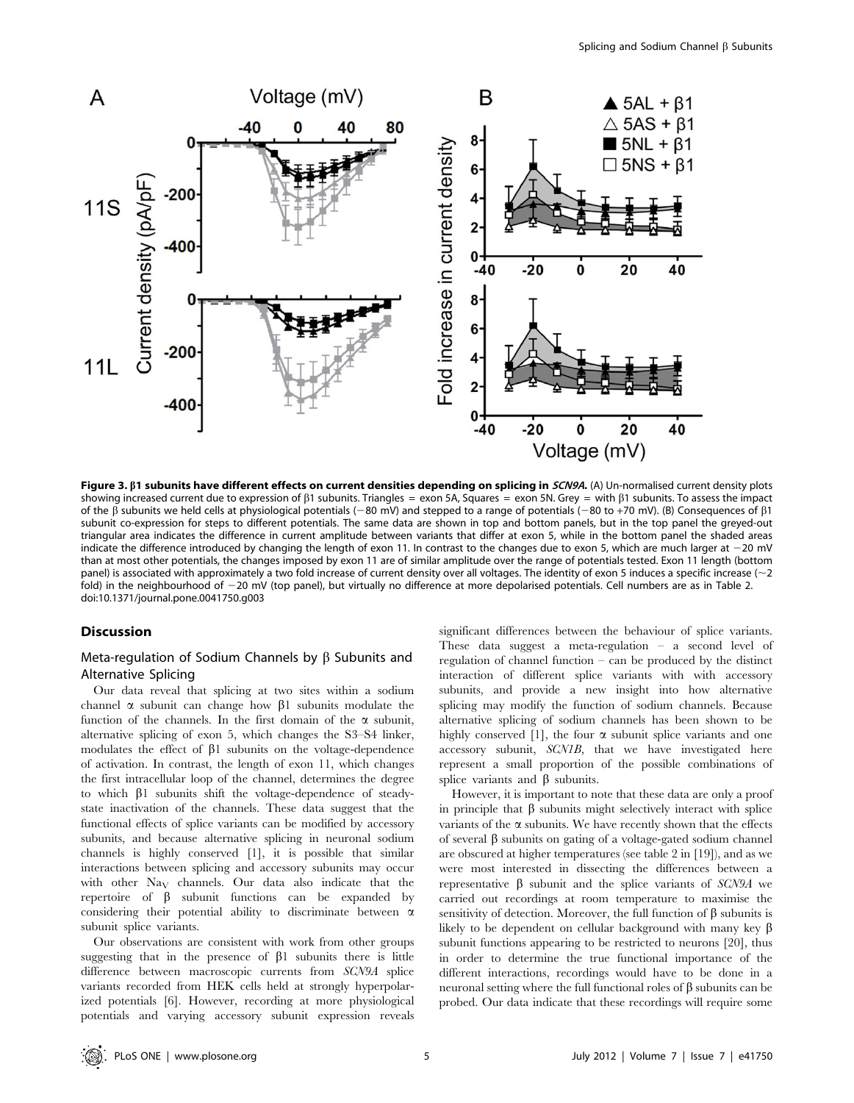

Figure 3. B1 subunits have different effects on current densities depending on splicing in SCN9A. (A) Un-normalised current density plots showing increased current due to expression of  $\beta$ 1 subunits. Triangles = exon 5A, Squares = exon 5N. Grey = with  $\beta$ 1 subunits. To assess the impact of the  $\beta$  subunits we held cells at physiological potentials (-80 mV) and stepped to a range of potentials (-80 to +70 mV). (B) Consequences of  $\beta$ 1 subunit co-expression for steps to different potentials. The same data are shown in top and bottom panels, but in the top panel the greyed-out triangular area indicates the difference in current amplitude between variants that differ at exon 5, while in the bottom panel the shaded areas indicate the difference introduced by changing the length of exon 11. In contrast to the changes due to exon 5, which are much larger at  $-20$  mV than at most other potentials, the changes imposed by exon 11 are of similar amplitude over the range of potentials tested. Exon 11 length (bottom panel) is associated with approximately a two fold increase of current density over all voltages. The identity of exon 5 induces a specific increase ( $\sim$ 2) fold) in the neighbourhood of -20 mV (top panel), but virtually no difference at more depolarised potentials. Cell numbers are as in Table 2. doi:10.1371/journal.pone.0041750.g003

## **Discussion**

## Meta-regulation of Sodium Channels by  $\beta$  Subunits and Alternative Splicing

Our data reveal that splicing at two sites within a sodium channel  $\alpha$  subunit can change how  $\beta$ 1 subunits modulate the function of the channels. In the first domain of the  $\alpha$  subunit, alternative splicing of exon 5, which changes the S3–S4 linker, modulates the effect of  $\beta$ 1 subunits on the voltage-dependence of activation. In contrast, the length of exon 11, which changes the first intracellular loop of the channel, determines the degree to which  $\beta$ 1 subunits shift the voltage-dependence of steadystate inactivation of the channels. These data suggest that the functional effects of splice variants can be modified by accessory subunits, and because alternative splicing in neuronal sodium channels is highly conserved [1], it is possible that similar interactions between splicing and accessory subunits may occur with other  $\text{Na}_{\text{V}}$  channels. Our data also indicate that the repertoire of  $\beta$  subunit functions can be expanded by considering their potential ability to discriminate between  $\alpha$ subunit splice variants.

Our observations are consistent with work from other groups suggesting that in the presence of  $\beta$ 1 subunits there is little difference between macroscopic currents from SCN9A splice variants recorded from HEK cells held at strongly hyperpolarized potentials [6]. However, recording at more physiological potentials and varying accessory subunit expression reveals

significant differences between the behaviour of splice variants. These data suggest a meta-regulation – a second level of regulation of channel function – can be produced by the distinct interaction of different splice variants with with accessory subunits, and provide a new insight into how alternative splicing may modify the function of sodium channels. Because alternative splicing of sodium channels has been shown to be highly conserved [1], the four  $\alpha$  subunit splice variants and one accessory subunit, SCN1B, that we have investigated here represent a small proportion of the possible combinations of splice variants and  $\beta$  subunits.

However, it is important to note that these data are only a proof in principle that  $\beta$  subunits might selectively interact with splice variants of the  $\alpha$  subunits. We have recently shown that the effects of several  $\beta$  subunits on gating of a voltage-gated sodium channel are obscured at higher temperatures (see table 2 in [19]), and as we were most interested in dissecting the differences between a representative  $\beta$  subunit and the splice variants of SCN9A we carried out recordings at room temperature to maximise the sensitivity of detection. Moreover, the full function of  $\beta$  subunits is likely to be dependent on cellular background with many key  $\beta$ subunit functions appearing to be restricted to neurons [20], thus in order to determine the true functional importance of the different interactions, recordings would have to be done in a neuronal setting where the full functional roles of  $\beta$  subunits can be probed. Our data indicate that these recordings will require some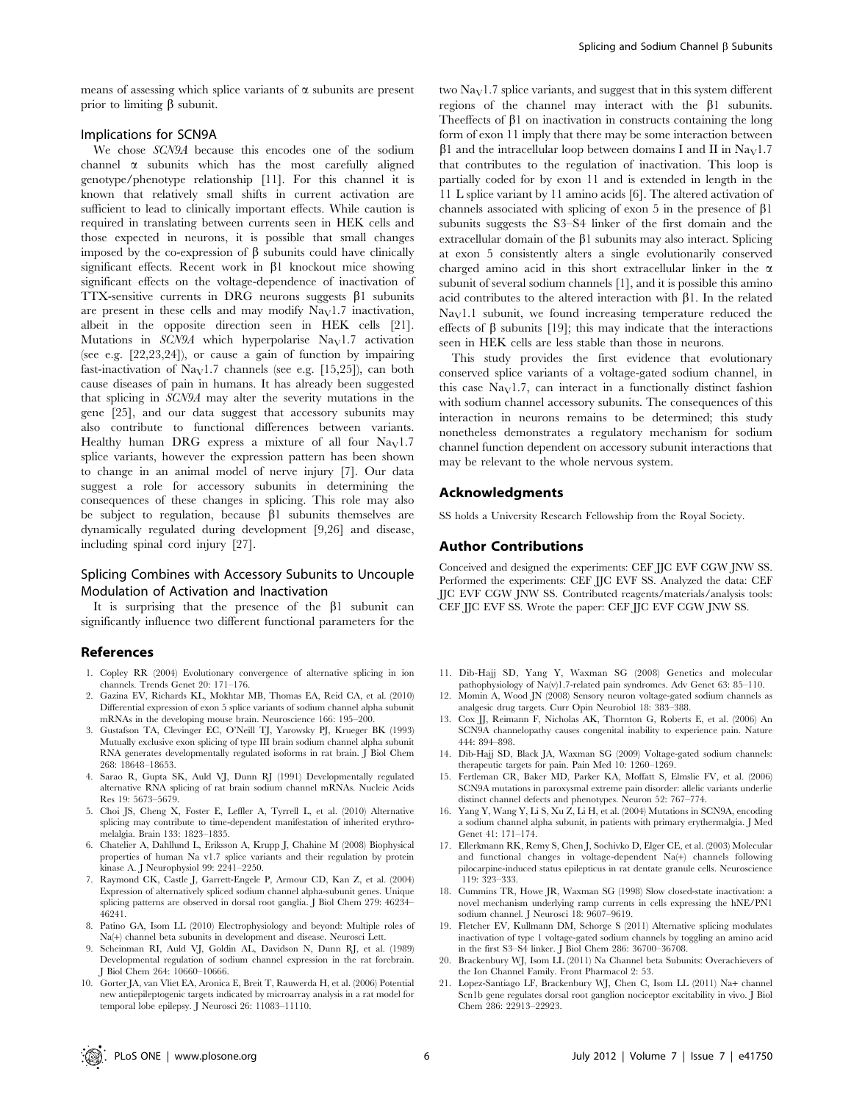means of assessing which splice variants of  $\alpha$  subunits are present prior to limiting  $\beta$  subunit.

#### Implications for SCN9A

We chose SCN9A because this encodes one of the sodium channel  $\alpha$  subunits which has the most carefully aligned genotype/phenotype relationship [11]. For this channel it is known that relatively small shifts in current activation are sufficient to lead to clinically important effects. While caution is required in translating between currents seen in HEK cells and those expected in neurons, it is possible that small changes imposed by the co-expression of  $\beta$  subunits could have clinically significant effects. Recent work in  $\beta$ 1 knockout mice showing significant effects on the voltage-dependence of inactivation of  $TTX$ -sensitive currents in DRG neurons suggests  $\beta$ 1 subunits are present in these cells and may modify  $\text{Na}_{\text{V}}1.7$  inactivation, albeit in the opposite direction seen in HEK cells [21]. Mutations in  $SCN9A$  which hyperpolarise Na<sub>V</sub>1.7 activation (see e.g. [22,23,24]), or cause a gain of function by impairing fast-inactivation of Na<sub>V</sub>1.7 channels (see e.g. [15,25]), can both cause diseases of pain in humans. It has already been suggested that splicing in SCN9A may alter the severity mutations in the gene [25], and our data suggest that accessory subunits may also contribute to functional differences between variants. Healthy human DRG express a mixture of all four  $\text{Na}_{\text{V}}1.7$ splice variants, however the expression pattern has been shown to change in an animal model of nerve injury [7]. Our data suggest a role for accessory subunits in determining the consequences of these changes in splicing. This role may also be subject to regulation, because  $\beta$ 1 subunits themselves are dynamically regulated during development [9,26] and disease, including spinal cord injury [27].

## Splicing Combines with Accessory Subunits to Uncouple Modulation of Activation and Inactivation

It is surprising that the presence of the  $\beta$ 1 subunit can significantly influence two different functional parameters for the

#### References

- 1. Copley RR (2004) Evolutionary convergence of alternative splicing in ion channels. Trends Genet 20: 171–176.
- 2. Gazina EV, Richards KL, Mokhtar MB, Thomas EA, Reid CA, et al. (2010) Differential expression of exon 5 splice variants of sodium channel alpha subunit mRNAs in the developing mouse brain. Neuroscience 166: 195–200.
- 3. Gustafson TA, Clevinger EC, O'Neill TJ, Yarowsky PJ, Krueger BK (1993) Mutually exclusive exon splicing of type III brain sodium channel alpha subunit RNA generates developmentally regulated isoforms in rat brain. J Biol Chem 268: 18648–18653.
- 4. Sarao R, Gupta SK, Auld VJ, Dunn RJ (1991) Developmentally regulated alternative RNA splicing of rat brain sodium channel mRNAs. Nucleic Acids Res 19: 5673–5679.
- 5. Choi JS, Cheng X, Foster E, Leffler A, Tyrrell L, et al. (2010) Alternative splicing may contribute to time-dependent manifestation of inherited erythromelalgia. Brain 133: 1823–1835.
- 6. Chatelier A, Dahllund L, Eriksson A, Krupp J, Chahine M (2008) Biophysical properties of human Na v1.7 splice variants and their regulation by protein kinase A. J Neurophysiol 99: 2241–2250.
- 7. Raymond CK, Castle J, Garrett-Engele P, Armour CD, Kan Z, et al. (2004) Expression of alternatively spliced sodium channel alpha-subunit genes. Unique splicing patterns are observed in dorsal root ganglia. J Biol Chem 279: 46234– 46241.
- 8. Patino GA, Isom LL (2010) Electrophysiology and beyond: Multiple roles of Na(+) channel beta subunits in development and disease. Neurosci Lett.
- 9. Scheinman RI, Auld VJ, Goldin AL, Davidson N, Dunn RJ, et al. (1989) Developmental regulation of sodium channel expression in the rat forebrain. J Biol Chem 264: 10660–10666.
- 10. Gorter JA, van Vliet EA, Aronica E, Breit T, Rauwerda H, et al. (2006) Potential new antiepileptogenic targets indicated by microarray analysis in a rat model for temporal lobe epilepsy. J Neurosci 26: 11083–11110.

two  $\text{Na}_{\text{V}}1.7$  splice variants, and suggest that in this system different regions of the channel may interact with the  $\beta$ 1 subunits. Theeffects of  $\beta$ 1 on inactivation in constructs containing the long form of exon 11 imply that there may be some interaction between  $\beta$ 1 and the intracellular loop between domains I and II in Na<sub>V</sub>1.7 that contributes to the regulation of inactivation. This loop is partially coded for by exon 11 and is extended in length in the 11 L splice variant by 11 amino acids [6]. The altered activation of channels associated with splicing of exon 5 in the presence of  $\beta$ 1 subunits suggests the S3–S4 linker of the first domain and the extracellular domain of the  $\beta$ 1 subunits may also interact. Splicing at exon 5 consistently alters a single evolutionarily conserved charged amino acid in this short extracellular linker in the  $\alpha$ subunit of several sodium channels [1], and it is possible this amino acid contributes to the altered interaction with  $\beta$ 1. In the related  $\text{Na}_{\text{V}}1.1$  subunit, we found increasing temperature reduced the effects of  $\beta$  subunits [19]; this may indicate that the interactions seen in HEK cells are less stable than those in neurons.

This study provides the first evidence that evolutionary conserved splice variants of a voltage-gated sodium channel, in this case  $\text{Na}_{\text{V}}1.7$ , can interact in a functionally distinct fashion with sodium channel accessory subunits. The consequences of this interaction in neurons remains to be determined; this study nonetheless demonstrates a regulatory mechanism for sodium channel function dependent on accessory subunit interactions that may be relevant to the whole nervous system.

## Acknowledgments

SS holds a University Research Fellowship from the Royal Society.

#### Author Contributions

Conceived and designed the experiments: CEF JJC EVF CGW JNW SS. Performed the experiments: CEF JJC EVF SS. Analyzed the data: CEF JJC EVF CGW JNW SS. Contributed reagents/materials/analysis tools: CEF JJC EVF SS. Wrote the paper: CEF JJC EVF CGW JNW SS.

- 11. Dib-Hajj SD, Yang Y, Waxman SG (2008) Genetics and molecular pathophysiology of Na(v)1.7-related pain syndromes. Adv Genet 63: 85–110.
- 12. Momin A, Wood JN (2008) Sensory neuron voltage-gated sodium channels as analgesic drug targets. Curr Opin Neurobiol 18: 383–388.
- 13. Cox JJ, Reimann F, Nicholas AK, Thornton G, Roberts E, et al. (2006) An SCN9A channelopathy causes congenital inability to experience pain. Nature 444: 894–898.
- 14. Dib-Hajj SD, Black JA, Waxman SG (2009) Voltage-gated sodium channels: therapeutic targets for pain. Pain Med 10: 1260–1269.
- 15. Fertleman CR, Baker MD, Parker KA, Moffatt S, Elmslie FV, et al. (2006) SCN9A mutations in paroxysmal extreme pain disorder: allelic variants underlie distinct channel defects and phenotypes. Neuron 52: 767–774.
- 16. Yang Y, Wang Y, Li S, Xu Z, Li H, et al. (2004) Mutations in SCN9A, encoding a sodium channel alpha subunit, in patients with primary erythermalgia. J Med Genet 41: 171–174.
- 17. Ellerkmann RK, Remy S, Chen J, Sochivko D, Elger CE, et al. (2003) Molecular and functional changes in voltage-dependent Na(+) channels following pilocarpine-induced status epilepticus in rat dentate granule cells. Neuroscience 119: 323–333.
- 18. Cummins TR, Howe JR, Waxman SG (1998) Slow closed-state inactivation: a novel mechanism underlying ramp currents in cells expressing the hNE/PN1 sodium channel. J Neurosci 18: 9607–9619.
- 19. Fletcher EV, Kullmann DM, Schorge S (2011) Alternative splicing modulates inactivation of type 1 voltage-gated sodium channels by toggling an amino acid in the first S3–S4 linker. J Biol Chem 286: 36700–36708.
- 20. Brackenbury WJ, Isom LL (2011) Na Channel beta Subunits: Overachievers of the Ion Channel Family. Front Pharmacol 2: 53.
- 21. Lopez-Santiago LF, Brackenbury WJ, Chen C, Isom LL (2011) Na+ channel Scn1b gene regulates dorsal root ganglion nociceptor excitability in vivo. J Biol Chem 286: 22913–22923.